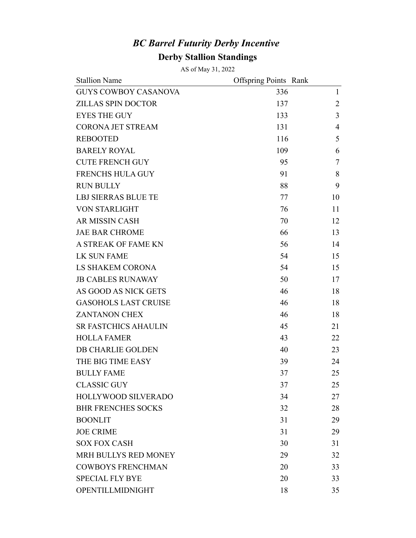## *BC Barrel Futurity Derby Incentive*  **Derby Stallion Standings**

AS of May 31, 2022

| <b>Stallion Name</b>        | <b>Offspring Points Rank</b> |                |
|-----------------------------|------------------------------|----------------|
| <b>GUYS COWBOY CASANOVA</b> | 336                          | $\mathbf{1}$   |
| <b>ZILLAS SPIN DOCTOR</b>   | 137                          | $\overline{2}$ |
| <b>EYES THE GUY</b>         | 133                          | 3              |
| <b>CORONA JET STREAM</b>    | 131                          | 4              |
| <b>REBOOTED</b>             | 116                          | 5              |
| <b>BARELY ROYAL</b>         | 109                          | 6              |
| <b>CUTE FRENCH GUY</b>      | 95                           | 7              |
| <b>FRENCHS HULA GUY</b>     | 91                           | 8              |
| <b>RUN BULLY</b>            | 88                           | 9              |
| <b>LBJ SIERRAS BLUE TE</b>  | 77                           | 10             |
| <b>VON STARLIGHT</b>        | 76                           | 11             |
| <b>AR MISSIN CASH</b>       | 70                           | 12             |
| <b>JAE BAR CHROME</b>       | 66                           | 13             |
| A STREAK OF FAME KN         | 56                           | 14             |
| <b>LK SUN FAME</b>          | 54                           | 15             |
| <b>LS SHAKEM CORONA</b>     | 54                           | 15             |
| <b>JB CABLES RUNAWAY</b>    | 50                           | 17             |
| AS GOOD AS NICK GETS        | 46                           | 18             |
| <b>GASOHOLS LAST CRUISE</b> | 46                           | 18             |
| <b>ZANTANON CHEX</b>        | 46                           | 18             |
| <b>SR FASTCHICS AHAULIN</b> | 45                           | 21             |
| <b>HOLLA FAMER</b>          | 43                           | 22             |
| DB CHARLIE GOLDEN           | 40                           | 23             |
| THE BIG TIME EASY           | 39                           | 24             |
| <b>BULLY FAME</b>           | 37                           | 25             |
| <b>CLASSIC GUY</b>          | 37                           | 25             |
| HOLLYWOOD SILVERADO         | 34                           | 27             |
| <b>BHR FRENCHES SOCKS</b>   | 32                           | 28             |
| <b>BOONLIT</b>              | 31                           | 29             |
| <b>JOE CRIME</b>            | 31                           | 29             |
| <b>SOX FOX CASH</b>         | 30                           | 31             |
| MRH BULLYS RED MONEY        | 29                           | 32             |
| <b>COWBOYS FRENCHMAN</b>    | 20                           | 33             |
| <b>SPECIAL FLY BYE</b>      | 20                           | 33             |
| OPENTILLMIDNIGHT            | 18                           | 35             |